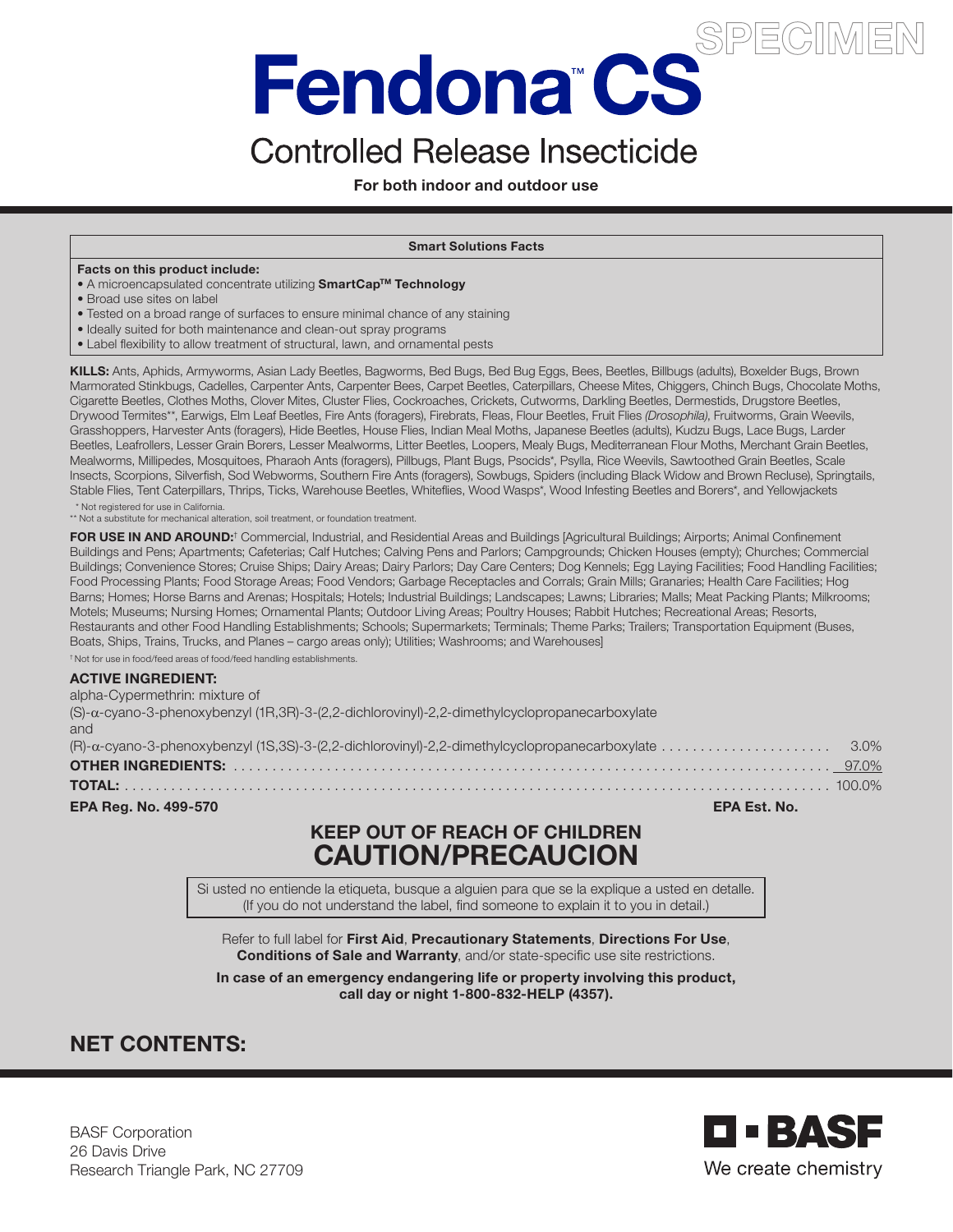# Fendona"CS

# **Controlled Release Insecticide**

For both indoor and outdoor use

### Smart Solutions Facts

### Facts on this product include:

- A microencapsulated concentrate utilizing SmartCap<sup>TM</sup> Technology
- Broad use sites on label
- Tested on a broad range of surfaces to ensure minimal chance of any staining
- Ideally suited for both maintenance and clean-out spray programs
- Label flexibility to allow treatment of structural, lawn, and ornamental pests

KILLS: Ants, Aphids, Armyworms, Asian Lady Beetles, Bagworms, Bed Bugs, Bed Bug Eggs, Bees, Beetles, Billbugs (adults), Boxelder Bugs, Brown Marmorated Stinkbugs, Cadelles, Carpenter Ants, Carpenter Bees, Carpet Beetles, Caterpillars, Cheese Mites, Chiggers, Chinch Bugs, Chocolate Moths, Cigarette Beetles, Clothes Moths, Clover Mites, Cluster Flies, Cockroaches, Crickets, Cutworms, Darkling Beetles, Dermestids, Drugstore Beetles, Drywood Termites\*\*, Earwigs, Elm Leaf Beetles, Fire Ants (foragers), Firebrats, Fleas, Flour Beetles, Fruit Flies *(Drosophila)*, Fruitworms, Grain Weevils, Grasshoppers, Harvester Ants (foragers), Hide Beetles, House Flies, Indian Meal Moths, Japanese Beetles (adults), Kudzu Bugs, Lace Bugs, Larder Beetles, Leafrollers, Lesser Grain Borers, Lesser Mealworms, Litter Beetles, Loopers, Mealy Bugs, Mediterranean Flour Moths, Merchant Grain Beetles, Mealworms, Millipedes, Mosquitoes, Pharaoh Ants (foragers), Pillbugs, Plant Bugs, Psocids\*, Psylla, Rice Weevils, Sawtoothed Grain Beetles, Scale Insects, Scorpions, Silverfish, Sod Webworms, Southern Fire Ants (foragers), Sowbugs, Spiders (including Black Widow and Brown Recluse), Springtails, Stable Flies, Tent Caterpillars, Thrips, Ticks, Warehouse Beetles, Whiteflies, Wood Wasps\*, Wood Infesting Beetles and Borers\*, and Yellowjackets

\* Not registered for use in California. \*\* Not a substitute for mechanical alteration, soil treatment, or foundation treatment.

FOR USE IN AND AROUND:<sup>†</sup> Commercial, Industrial, and Residential Areas and Buildings [Agricultural Buildings; Airports; Animal Confinement Buildings and Pens; Apartments; Cafeterias; Calf Hutches; Calving Pens and Parlors; Campgrounds; Chicken Houses (empty); Churches; Commercial Buildings; Convenience Stores; Cruise Ships; Dairy Areas; Dairy Parlors; Day Care Centers; Dog Kennels; Egg Laying Facilities; Food Handling Facilities; Food Processing Plants; Food Storage Areas; Food Vendors; Garbage Receptacles and Corrals; Grain Mills; Granaries; Health Care Facilities; Hog Barns; Homes; Horse Barns and Arenas; Hospitals; Hotels; Industrial Buildings; Landscapes; Lawns; Libraries; Malls; Meat Packing Plants; Milkrooms; Motels; Museums; Nursing Homes; Ornamental Plants; Outdoor Living Areas; Poultry Houses; Rabbit Hutches; Recreational Areas; Resorts, Restaurants and other Food Handling Establishments; Schools; Supermarkets; Terminals; Theme Parks; Trailers; Transportation Equipment (Buses, Boats, Ships, Trains, Trucks, and Planes – cargo areas only); Utilities; Washrooms; and Warehouses]

† Not for use in food/feed areas of food/feed handling establishments.

### ACTIVE INGREDIENT:

| alpha-Cypermethrin: mixture of                                                                            |  |
|-----------------------------------------------------------------------------------------------------------|--|
| $(S)$ - $\alpha$ -cvano-3-phenoxybenzyl (1R.3R)-3-(2.2-dichlorovinyl)-2.2-dimethylcyclopropanecarboxylate |  |
| and                                                                                                       |  |
|                                                                                                           |  |
|                                                                                                           |  |
|                                                                                                           |  |
| <b>EPA Reg. No. 499-570</b><br><b>EPA Est. No.</b>                                                        |  |

# KEEP OUT OF REACH OF CHILDREN CAUTION/PRECAUCION

Si usted no entiende la etiqueta, busque a alguien para que se la explique a usted en detalle. (If you do not understand the label, find someone to explain it to you in detail.)

Refer to full label for First Aid, Precautionary Statements, Directions For Use, Conditions of Sale and Warranty, and/or state-specific use site restrictions.

In case of an emergency endangering life or property involving this product, call day or night 1-800-832-HELP (4357).

# NET CONTENTS:

BASF Corporation 26 Davis Drive Research Triangle Park, NC 27709

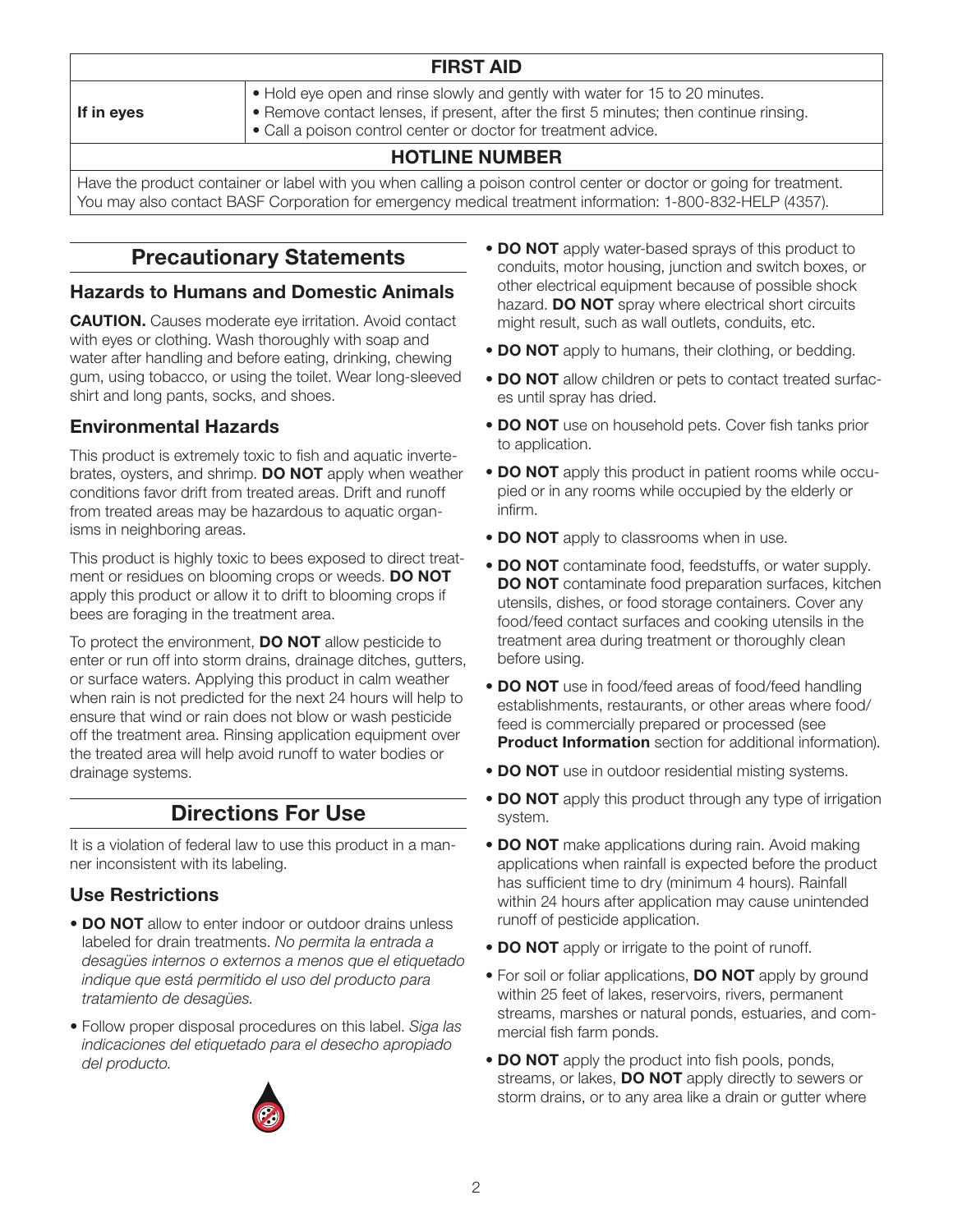### If in eyes

# FIRST AID

- Hold eye open and rinse slowly and gently with water for 15 to 20 minutes.
- Remove contact lenses, if present, after the first 5 minutes; then continue rinsing.
- Call a poison control center or doctor for treatment advice.

# HOTLINE NUMBER

Have the product container or label with you when calling a poison control center or doctor or going for treatment. You may also contact BASF Corporation for emergency medical treatment information: 1-800-832-HELP (4357).

# Precautionary Statements

# Hazards to Humans and Domestic Animals

**CAUTION.** Causes moderate eve irritation. Avoid contact with eyes or clothing. Wash thoroughly with soap and water after handling and before eating, drinking, chewing gum, using tobacco, or using the toilet. Wear long-sleeved shirt and long pants, socks, and shoes.

# Environmental Hazards

This product is extremely toxic to fish and aquatic invertebrates, oysters, and shrimp. **DO NOT** apply when weather conditions favor drift from treated areas. Drift and runoff from treated areas may be hazardous to aquatic organisms in neighboring areas.

This product is highly toxic to bees exposed to direct treatment or residues on blooming crops or weeds. DO NOT apply this product or allow it to drift to blooming crops if bees are foraging in the treatment area.

To protect the environment, **DO NOT** allow pesticide to enter or run off into storm drains, drainage ditches, gutters, or surface waters. Applying this product in calm weather when rain is not predicted for the next 24 hours will help to ensure that wind or rain does not blow or wash pesticide off the treatment area. Rinsing application equipment over the treated area will help avoid runoff to water bodies or drainage systems.

# Directions For Use

It is a violation of federal law to use this product in a manner inconsistent with its labeling.

# Use Restrictions

- **DO NOT** allow to enter indoor or outdoor drains unless labeled for drain treatments. *No permita la entrada a desagües internos o externos a menos que el etiquetado indique que está permitido el uso del producto para tratamiento de desagües.*
- Follow proper disposal procedures on this label. *Siga las indicaciones del etiquetado para el desecho apropiado del producto.*



- DO NOT apply water-based sprays of this product to conduits, motor housing, junction and switch boxes, or other electrical equipment because of possible shock hazard. **DO NOT** spray where electrical short circuits might result, such as wall outlets, conduits, etc.
- DO NOT apply to humans, their clothing, or bedding.
- DO NOT allow children or pets to contact treated surfaces until spray has dried.
- **DO NOT** use on household pets. Cover fish tanks prior to application.
- **DO NOT** apply this product in patient rooms while occupied or in any rooms while occupied by the elderly or infirm.
- DO NOT apply to classrooms when in use.
- DO NOT contaminate food, feedstuffs, or water supply. DO NOT contaminate food preparation surfaces, kitchen utensils, dishes, or food storage containers. Cover any food/feed contact surfaces and cooking utensils in the treatment area during treatment or thoroughly clean before using.
- DO NOT use in food/feed areas of food/feed handling establishments, restaurants, or other areas where food/ feed is commercially prepared or processed (see **Product Information** section for additional information).
- DO NOT use in outdoor residential misting systems.
- DO NOT apply this product through any type of irrigation system.
- DO NOT make applications during rain. Avoid making applications when rainfall is expected before the product has sufficient time to dry (minimum 4 hours). Rainfall within 24 hours after application may cause unintended runoff of pesticide application.
- DO NOT apply or irrigate to the point of runoff.
- For soil or foliar applications, **DO NOT** apply by ground within 25 feet of lakes, reservoirs, rivers, permanent streams, marshes or natural ponds, estuaries, and commercial fish farm ponds.
- **DO NOT** apply the product into fish pools, ponds, streams, or lakes, DO NOT apply directly to sewers or storm drains, or to any area like a drain or gutter where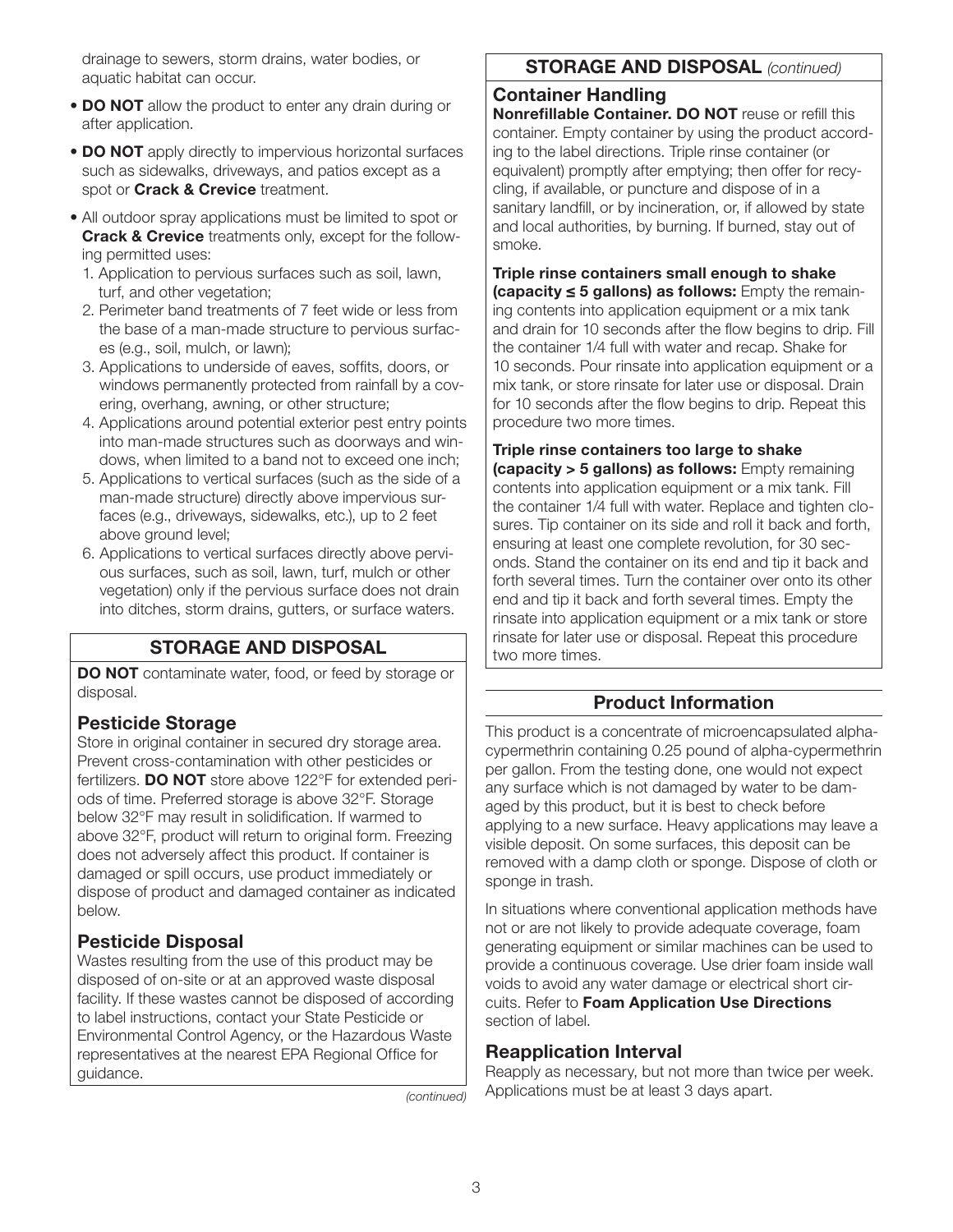drainage to sewers, storm drains, water bodies, or aquatic habitat can occur.

- DO NOT allow the product to enter any drain during or after application.
- DO NOT apply directly to impervious horizontal surfaces such as sidewalks, driveways, and patios except as a spot or Crack & Crevice treatment.
- All outdoor spray applications must be limited to spot or **Crack & Crevice** treatments only, except for the following permitted uses:
	- 1. Application to pervious surfaces such as soil, lawn, turf, and other vegetation;
	- 2. Perimeter band treatments of 7 feet wide or less from the base of a man-made structure to pervious surfaces (e.g., soil, mulch, or lawn);
	- 3. Applications to underside of eaves, soffits, doors, or windows permanently protected from rainfall by a covering, overhang, awning, or other structure;
	- 4. Applications around potential exterior pest entry points into man-made structures such as doorways and windows, when limited to a band not to exceed one inch;
	- 5. Applications to vertical surfaces (such as the side of a man-made structure) directly above impervious surfaces (e.g., driveways, sidewalks, etc.), up to 2 feet above ground level;
	- 6. Applications to vertical surfaces directly above pervious surfaces, such as soil, lawn, turf, mulch or other vegetation) only if the pervious surface does not drain into ditches, storm drains, gutters, or surface waters.

# STORAGE AND DISPOSAL

DO NOT contaminate water, food, or feed by storage or disposal.

# Pesticide Storage

Store in original container in secured dry storage area. Prevent cross-contamination with other pesticides or fertilizers. DO NOT store above 122°F for extended periods of time. Preferred storage is above 32°F. Storage below 32°F may result in solidification. If warmed to above 32°F, product will return to original form. Freezing does not adversely affect this product. If container is damaged or spill occurs, use product immediately or dispose of product and damaged container as indicated below.

# Pesticide Disposal

Wastes resulting from the use of this product may be disposed of on-site or at an approved waste disposal facility. If these wastes cannot be disposed of according to label instructions, contact your State Pesticide or Environmental Control Agency, or the Hazardous Waste representatives at the nearest EPA Regional Office for guidance.

*(continued)*

# STORAGE AND DISPOSAL *(continued)*

# Container Handling

Nonrefillable Container. DO NOT reuse or refill this container. Empty container by using the product according to the label directions. Triple rinse container (or equivalent) promptly after emptying; then offer for recycling, if available, or puncture and dispose of in a sanitary landfill, or by incineration, or, if allowed by state and local authorities, by burning. If burned, stay out of smoke.

Triple rinse containers small enough to shake (capacity ≤ 5 gallons) as follows: Empty the remaining contents into application equipment or a mix tank and drain for 10 seconds after the flow begins to drip. Fill the container 1/4 full with water and recap. Shake for 10 seconds. Pour rinsate into application equipment or a mix tank, or store rinsate for later use or disposal. Drain for 10 seconds after the flow begins to drip. Repeat this procedure two more times.

Triple rinse containers too large to shake (capacity > 5 gallons) as follows: Empty remaining contents into application equipment or a mix tank. Fill the container 1/4 full with water. Replace and tighten closures. Tip container on its side and roll it back and forth, ensuring at least one complete revolution, for 30 seconds. Stand the container on its end and tip it back and forth several times. Turn the container over onto its other end and tip it back and forth several times. Empty the rinsate into application equipment or a mix tank or store rinsate for later use or disposal. Repeat this procedure two more times.

# Product Information

This product is a concentrate of microencapsulated alphacypermethrin containing 0.25 pound of alpha-cypermethrin per gallon. From the testing done, one would not expect any surface which is not damaged by water to be damaged by this product, but it is best to check before applying to a new surface. Heavy applications may leave a visible deposit. On some surfaces, this deposit can be removed with a damp cloth or sponge. Dispose of cloth or sponge in trash.

In situations where conventional application methods have not or are not likely to provide adequate coverage, foam generating equipment or similar machines can be used to provide a continuous coverage. Use drier foam inside wall voids to avoid any water damage or electrical short circuits. Refer to Foam Application Use Directions section of label.

# Reapplication Interval

Reapply as necessary, but not more than twice per week. Applications must be at least 3 days apart.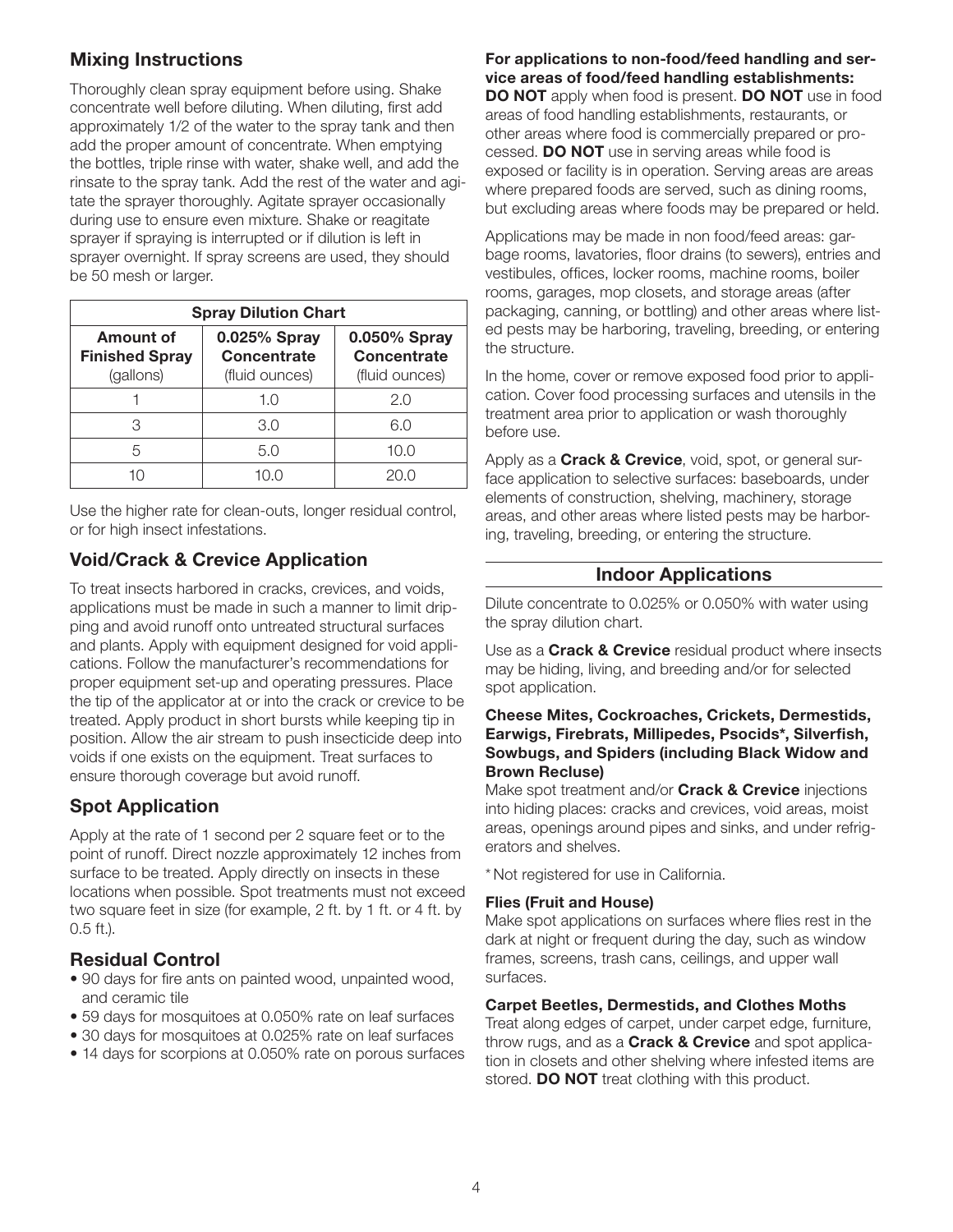# Mixing Instructions

Thoroughly clean spray equipment before using. Shake concentrate well before diluting. When diluting, first add approximately 1/2 of the water to the spray tank and then add the proper amount of concentrate. When emptying the bottles, triple rinse with water, shake well, and add the rinsate to the spray tank. Add the rest of the water and agitate the sprayer thoroughly. Agitate sprayer occasionally during use to ensure even mixture. Shake or reagitate sprayer if spraying is interrupted or if dilution is left in sprayer overnight. If spray screens are used, they should be 50 mesh or larger.

| <b>Spray Dilution Chart</b>                     |                                               |                                                      |  |  |
|-------------------------------------------------|-----------------------------------------------|------------------------------------------------------|--|--|
| Amount of<br><b>Finished Spray</b><br>(gallons) | 0.025% Spray<br>Concentrate<br>(fluid ounces) | 0.050% Spray<br><b>Concentrate</b><br>(fluid ounces) |  |  |
|                                                 | 1.0                                           | 2.0                                                  |  |  |
| 3                                               | 3.0                                           | 6.0                                                  |  |  |
| 5                                               | 5.0                                           | 10.0                                                 |  |  |
|                                                 |                                               |                                                      |  |  |

Use the higher rate for clean-outs, longer residual control, or for high insect infestations.

# Void/Crack & Crevice Application

To treat insects harbored in cracks, crevices, and voids, applications must be made in such a manner to limit dripping and avoid runoff onto untreated structural surfaces and plants. Apply with equipment designed for void applications. Follow the manufacturer's recommendations for proper equipment set-up and operating pressures. Place the tip of the applicator at or into the crack or crevice to be treated. Apply product in short bursts while keeping tip in position. Allow the air stream to push insecticide deep into voids if one exists on the equipment. Treat surfaces to ensure thorough coverage but avoid runoff.

# Spot Application

Apply at the rate of 1 second per 2 square feet or to the point of runoff. Direct nozzle approximately 12 inches from surface to be treated. Apply directly on insects in these locations when possible. Spot treatments must not exceed two square feet in size (for example, 2 ft. by 1 ft. or 4 ft. by 0.5 ft.).

# Residual Control

- 90 days for fire ants on painted wood, unpainted wood, and ceramic tile
- 59 days for mosquitoes at 0.050% rate on leaf surfaces
- 30 days for mosquitoes at 0.025% rate on leaf surfaces
- 14 days for scorpions at 0.050% rate on porous surfaces

### For applications to non-food/feed handling and service areas of food/feed handling establishments:

DO NOT apply when food is present. DO NOT use in food areas of food handling establishments, restaurants, or other areas where food is commercially prepared or processed. DO NOT use in serving areas while food is exposed or facility is in operation. Serving areas are areas where prepared foods are served, such as dining rooms, but excluding areas where foods may be prepared or held.

Applications may be made in non food/feed areas: garbage rooms, lavatories, floor drains (to sewers), entries and vestibules, offices, locker rooms, machine rooms, boiler rooms, garages, mop closets, and storage areas (after packaging, canning, or bottling) and other areas where listed pests may be harboring, traveling, breeding, or entering the structure.

In the home, cover or remove exposed food prior to application. Cover food processing surfaces and utensils in the treatment area prior to application or wash thoroughly before use.

Apply as a **Crack & Crevice**, void, spot, or general surface application to selective surfaces: baseboards, under elements of construction, shelving, machinery, storage areas, and other areas where listed pests may be harboring, traveling, breeding, or entering the structure.

# Indoor Applications

Dilute concentrate to 0.025% or 0.050% with water using the spray dilution chart.

Use as a **Crack & Crevice** residual product where insects may be hiding, living, and breeding and/or for selected spot application.

### Cheese Mites, Cockroaches, Crickets, Dermestids, Earwigs, Firebrats, Millipedes, Psocids\*, Silverfish, Sowbugs, and Spiders (including Black Widow and Brown Recluse)

Make spot treatment and/or **Crack & Crevice** injections into hiding places: cracks and crevices, void areas, moist areas, openings around pipes and sinks, and under refrigerators and shelves.

\* Not registered for use in California.

### Flies (Fruit and House)

Make spot applications on surfaces where flies rest in the dark at night or frequent during the day, such as window frames, screens, trash cans, ceilings, and upper wall surfaces.

### Carpet Beetles, Dermestids, and Clothes Moths

Treat along edges of carpet, under carpet edge, furniture, throw rugs, and as a **Crack & Crevice** and spot application in closets and other shelving where infested items are stored. **DO NOT** treat clothing with this product.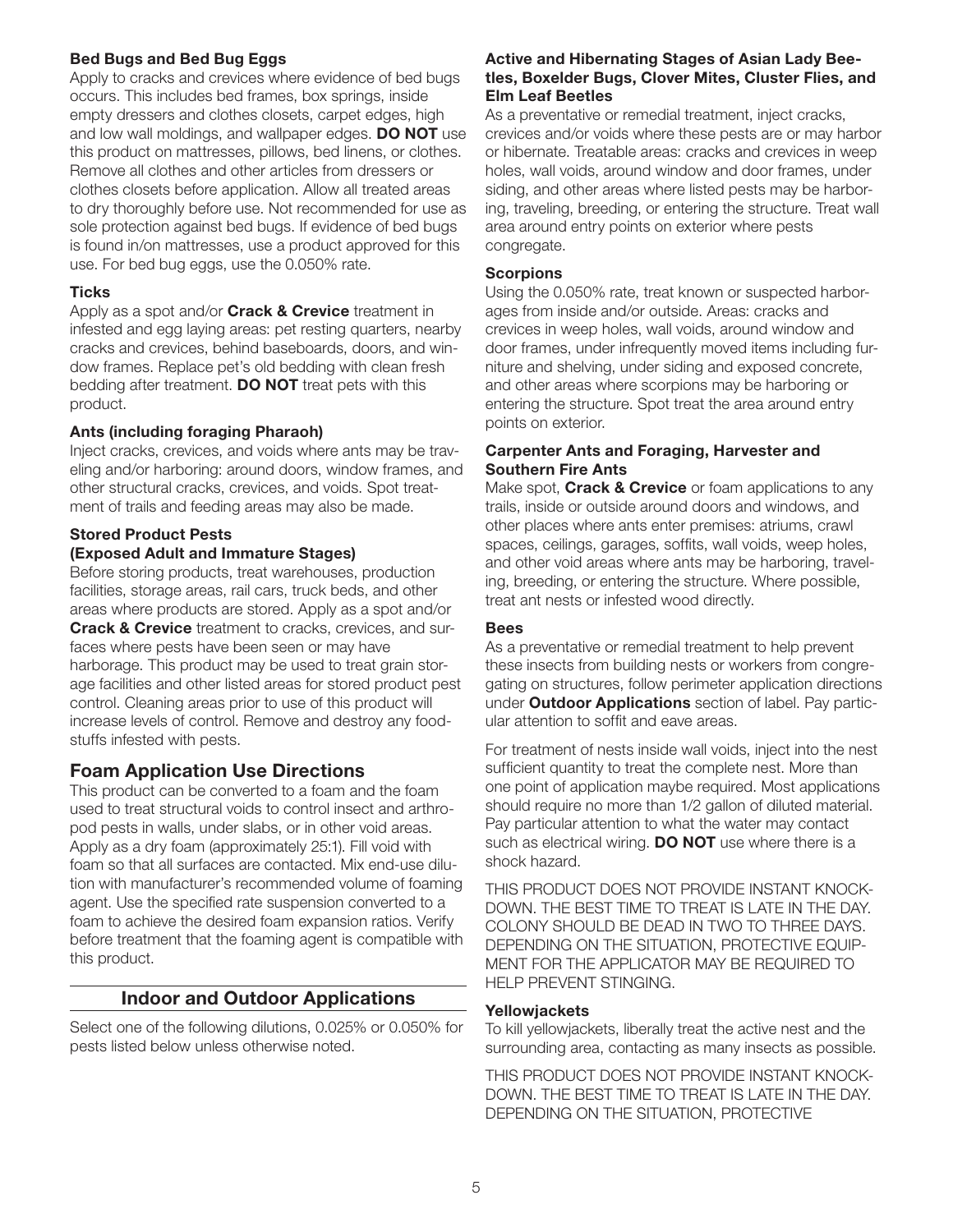### Bed Bugs and Bed Bug Eggs

Apply to cracks and crevices where evidence of bed bugs occurs. This includes bed frames, box springs, inside empty dressers and clothes closets, carpet edges, high and low wall moldings, and wallpaper edges. **DO NOT** use this product on mattresses, pillows, bed linens, or clothes. Remove all clothes and other articles from dressers or clothes closets before application. Allow all treated areas to dry thoroughly before use. Not recommended for use as sole protection against bed bugs. If evidence of bed bugs is found in/on mattresses, use a product approved for this use. For bed bug eggs, use the 0.050% rate.

### **Ticks**

Apply as a spot and/or **Crack & Crevice** treatment in infested and egg laying areas: pet resting quarters, nearby cracks and crevices, behind baseboards, doors, and window frames. Replace pet's old bedding with clean fresh bedding after treatment. DO NOT treat pets with this product.

### Ants (including foraging Pharaoh)

Inject cracks, crevices, and voids where ants may be traveling and/or harboring: around doors, window frames, and other structural cracks, crevices, and voids. Spot treatment of trails and feeding areas may also be made.

### Stored Product Pests (Exposed Adult and Immature Stages)

Before storing products, treat warehouses, production facilities, storage areas, rail cars, truck beds, and other areas where products are stored. Apply as a spot and/or **Crack & Crevice** treatment to cracks, crevices, and surfaces where pests have been seen or may have harborage. This product may be used to treat grain storage facilities and other listed areas for stored product pest control. Cleaning areas prior to use of this product will increase levels of control. Remove and destroy any foodstuffs infested with pests.

# Foam Application Use Directions

This product can be converted to a foam and the foam used to treat structural voids to control insect and arthropod pests in walls, under slabs, or in other void areas. Apply as a dry foam (approximately 25:1). Fill void with foam so that all surfaces are contacted. Mix end-use dilution with manufacturer's recommended volume of foaming agent. Use the specified rate suspension converted to a foam to achieve the desired foam expansion ratios. Verify before treatment that the foaming agent is compatible with this product.

# Indoor and Outdoor Applications

Select one of the following dilutions, 0.025% or 0.050% for pests listed below unless otherwise noted.

### Active and Hibernating Stages of Asian Lady Beetles, Boxelder Bugs, Clover Mites, Cluster Flies, and Elm Leaf Beetles

As a preventative or remedial treatment, inject cracks, crevices and/or voids where these pests are or may harbor or hibernate. Treatable areas: cracks and crevices in weep holes, wall voids, around window and door frames, under siding, and other areas where listed pests may be harboring, traveling, breeding, or entering the structure. Treat wall area around entry points on exterior where pests congregate.

### **Scorpions**

Using the 0.050% rate, treat known or suspected harborages from inside and/or outside. Areas: cracks and crevices in weep holes, wall voids, around window and door frames, under infrequently moved items including furniture and shelving, under siding and exposed concrete, and other areas where scorpions may be harboring or entering the structure. Spot treat the area around entry points on exterior.

### Carpenter Ants and Foraging, Harvester and Southern Fire Ants

Make spot, **Crack & Crevice** or foam applications to any trails, inside or outside around doors and windows, and other places where ants enter premises: atriums, crawl spaces, ceilings, garages, soffits, wall voids, weep holes, and other void areas where ants may be harboring, traveling, breeding, or entering the structure. Where possible, treat ant nests or infested wood directly.

### Bees

As a preventative or remedial treatment to help prevent these insects from building nests or workers from congregating on structures, follow perimeter application directions under **Outdoor Applications** section of label. Pay particular attention to soffit and eave areas.

For treatment of nests inside wall voids, inject into the nest sufficient quantity to treat the complete nest. More than one point of application maybe required. Most applications should require no more than 1/2 gallon of diluted material. Pay particular attention to what the water may contact such as electrical wiring. **DO NOT** use where there is a shock hazard.

THIS PRODUCT DOES NOT PROVIDE INSTANT KNOCK-DOWN. THE BEST TIME TO TREAT IS LATE IN THE DAY. COLONY SHOULD BE DEAD IN TWO TO THREE DAYS. DEPENDING ON THE SITUATION, PROTECTIVE EQUIP-MENT FOR THE APPLICATOR MAY BE REQUIRED TO HELP PREVENT STINGING.

### Yellowjackets

To kill yellowjackets, liberally treat the active nest and the surrounding area, contacting as many insects as possible.

THIS PRODUCT DOES NOT PROVIDE INSTANT KNOCK-DOWN. THE BEST TIME TO TREAT IS LATE IN THE DAY. DEPENDING ON THE SITUATION, PROTECTIVE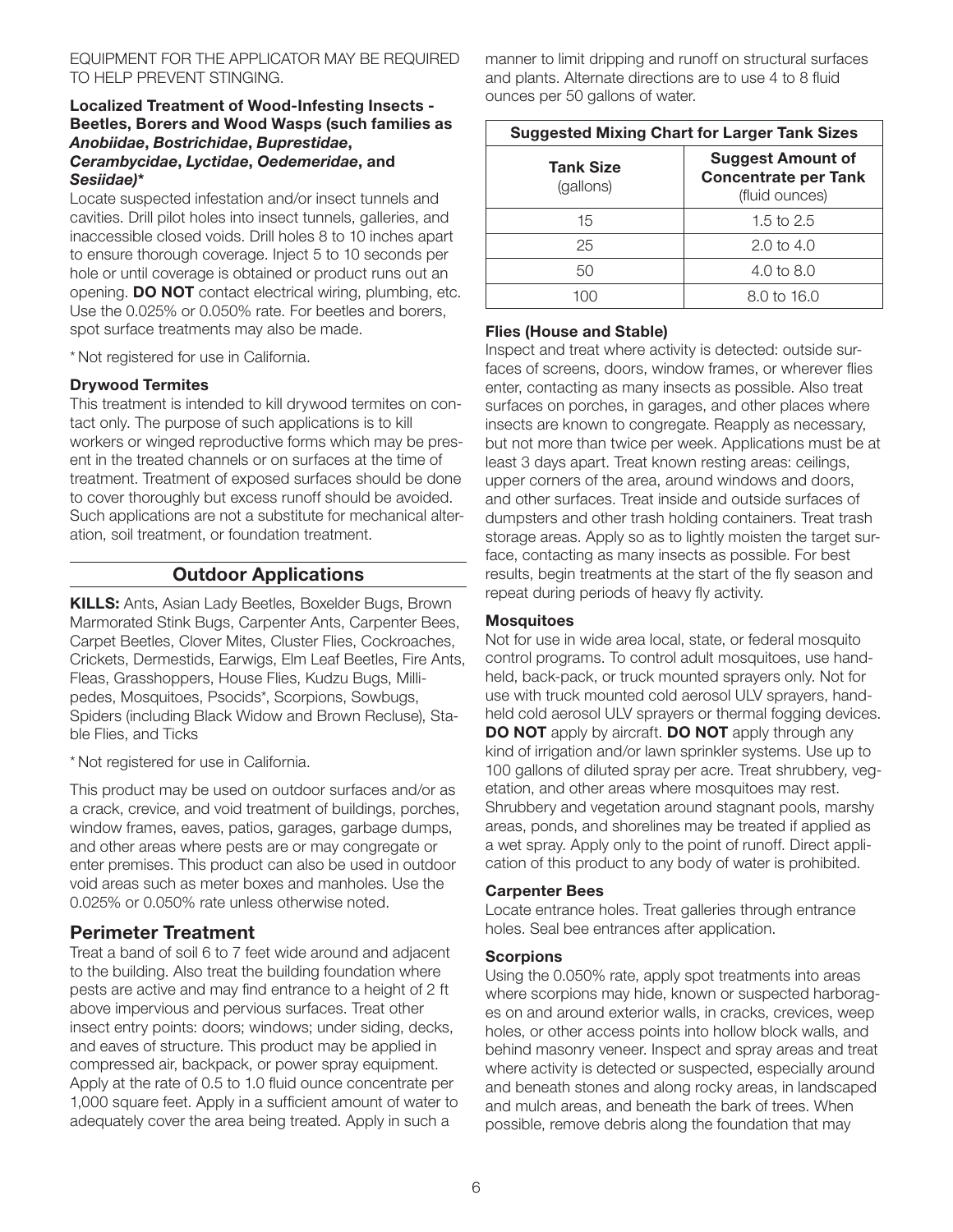### EQUIPMENT FOR THE APPLICATOR MAY BE REQUIRED TO HELP PREVENT STINGING.

### Localized Treatment of Wood-Infesting Insects - Beetles, Borers and Wood Wasps (such families as *Anobiidae*, *Bostrichidae*, *Buprestidae*, *Cerambycidae*, *Lyctidae*, *Oedemeridae*, and *Sesiidae)*\*

Locate suspected infestation and/or insect tunnels and cavities. Drill pilot holes into insect tunnels, galleries, and inaccessible closed voids. Drill holes 8 to 10 inches apart to ensure thorough coverage. Inject 5 to 10 seconds per hole or until coverage is obtained or product runs out an opening. DO NOT contact electrical wiring, plumbing, etc. Use the 0.025% or 0.050% rate. For beetles and borers, spot surface treatments may also be made.

\* Not registered for use in California.

### Drywood Termites

This treatment is intended to kill drywood termites on contact only. The purpose of such applications is to kill workers or winged reproductive forms which may be present in the treated channels or on surfaces at the time of treatment. Treatment of exposed surfaces should be done to cover thoroughly but excess runoff should be avoided. Such applications are not a substitute for mechanical alteration, soil treatment, or foundation treatment.

# Outdoor Applications

**KILLS:** Ants, Asian Lady Beetles, Boxelder Bugs, Brown Marmorated Stink Bugs, Carpenter Ants, Carpenter Bees, Carpet Beetles, Clover Mites, Cluster Flies, Cockroaches, Crickets, Dermestids, Earwigs, Elm Leaf Beetles, Fire Ants, Fleas, Grasshoppers, House Flies, Kudzu Bugs, Millipedes, Mosquitoes, Psocids\*, Scorpions, Sowbugs, Spiders (including Black Widow and Brown Recluse), Stable Flies, and Ticks

\* Not registered for use in California.

This product may be used on outdoor surfaces and/or as a crack, crevice, and void treatment of buildings, porches, window frames, eaves, patios, garages, garbage dumps, and other areas where pests are or may congregate or enter premises. This product can also be used in outdoor void areas such as meter boxes and manholes. Use the 0.025% or 0.050% rate unless otherwise noted.

# Perimeter Treatment

Treat a band of soil 6 to 7 feet wide around and adjacent to the building. Also treat the building foundation where pests are active and may find entrance to a height of 2 ft above impervious and pervious surfaces. Treat other insect entry points: doors; windows; under siding, decks, and eaves of structure. This product may be applied in compressed air, backpack, or power spray equipment. Apply at the rate of 0.5 to 1.0 fluid ounce concentrate per 1,000 square feet. Apply in a sufficient amount of water to adequately cover the area being treated. Apply in such a

manner to limit dripping and runoff on structural surfaces and plants. Alternate directions are to use 4 to 8 fluid ounces per 50 gallons of water.

| <b>Suggested Mixing Chart for Larger Tank Sizes</b> |                                                                           |  |  |
|-----------------------------------------------------|---------------------------------------------------------------------------|--|--|
| <b>Tank Size</b><br>(gallons)                       | <b>Suggest Amount of</b><br><b>Concentrate per Tank</b><br>(fluid ounces) |  |  |
| 15                                                  | 1.5 to 2.5                                                                |  |  |
| 25                                                  | $2.0 \text{ to } 4.0$                                                     |  |  |
| 50                                                  | 4.0 to $8.0$                                                              |  |  |
|                                                     | 8.0 to 16.0                                                               |  |  |

### Flies (House and Stable)

Inspect and treat where activity is detected: outside surfaces of screens, doors, window frames, or wherever flies enter, contacting as many insects as possible. Also treat surfaces on porches, in garages, and other places where insects are known to congregate. Reapply as necessary, but not more than twice per week. Applications must be at least 3 days apart. Treat known resting areas: ceilings, upper corners of the area, around windows and doors, and other surfaces. Treat inside and outside surfaces of dumpsters and other trash holding containers. Treat trash storage areas. Apply so as to lightly moisten the target surface, contacting as many insects as possible. For best results, begin treatments at the start of the fly season and repeat during periods of heavy fly activity.

### **Mosquitoes**

Not for use in wide area local, state, or federal mosquito control programs. To control adult mosquitoes, use handheld, back-pack, or truck mounted sprayers only. Not for use with truck mounted cold aerosol ULV sprayers, handheld cold aerosol ULV sprayers or thermal fogging devices. **DO NOT** apply by aircraft. **DO NOT** apply through any kind of irrigation and/or lawn sprinkler systems. Use up to 100 gallons of diluted spray per acre. Treat shrubbery, vegetation, and other areas where mosquitoes may rest. Shrubbery and vegetation around stagnant pools, marshy areas, ponds, and shorelines may be treated if applied as a wet spray. Apply only to the point of runoff. Direct application of this product to any body of water is prohibited.

### Carpenter Bees

Locate entrance holes. Treat galleries through entrance holes. Seal bee entrances after application.

### **Scorpions**

Using the 0.050% rate, apply spot treatments into areas where scorpions may hide, known or suspected harborages on and around exterior walls, in cracks, crevices, weep holes, or other access points into hollow block walls, and behind masonry veneer. Inspect and spray areas and treat where activity is detected or suspected, especially around and beneath stones and along rocky areas, in landscaped and mulch areas, and beneath the bark of trees. When possible, remove debris along the foundation that may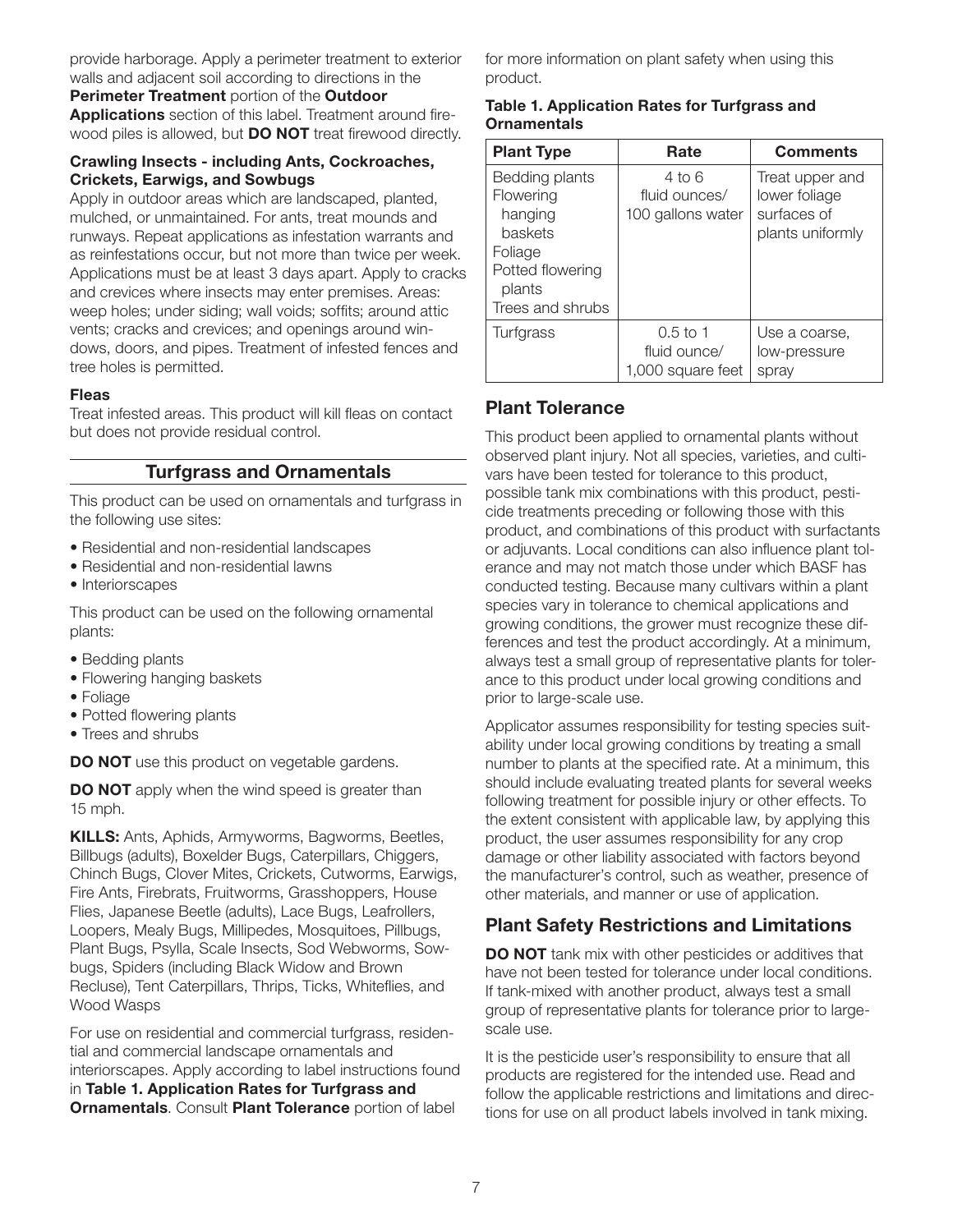provide harborage. Apply a perimeter treatment to exterior walls and adjacent soil according to directions in the Perimeter Treatment portion of the Outdoor

Applications section of this label. Treatment around firewood piles is allowed, but **DO NOT** treat firewood directly.

### Crawling Insects - including Ants, Cockroaches, Crickets, Earwigs, and Sowbugs

Apply in outdoor areas which are landscaped, planted, mulched, or unmaintained. For ants, treat mounds and runways. Repeat applications as infestation warrants and as reinfestations occur, but not more than twice per week. Applications must be at least 3 days apart. Apply to cracks and crevices where insects may enter premises. Areas: weep holes; under siding; wall voids; soffits; around attic vents; cracks and crevices; and openings around windows, doors, and pipes. Treatment of infested fences and tree holes is permitted.

### Fleas

Treat infested areas. This product will kill fleas on contact but does not provide residual control.

# Turfgrass and Ornamentals

This product can be used on ornamentals and turfgrass in the following use sites:

- Residential and non-residential landscapes
- Residential and non-residential lawns
- Interiorscapes

This product can be used on the following ornamental plants:

- Bedding plants
- Flowering hanging baskets
- Foliage
- Potted flowering plants
- Trees and shrubs

**DO NOT** use this product on vegetable gardens.

**DO NOT** apply when the wind speed is greater than 15 mph.

KILLS: Ants, Aphids, Armyworms, Bagworms, Beetles, Billbugs (adults), Boxelder Bugs, Caterpillars, Chiggers, Chinch Bugs, Clover Mites, Crickets, Cutworms, Earwigs, Fire Ants, Firebrats, Fruitworms, Grasshoppers, House Flies, Japanese Beetle (adults), Lace Bugs, Leafrollers, Loopers, Mealy Bugs, Millipedes, Mosquitoes, Pillbugs, Plant Bugs, Psylla, Scale Insects, Sod Webworms, Sowbugs, Spiders (including Black Widow and Brown Recluse), Tent Caterpillars, Thrips, Ticks, Whiteflies, and Wood Wasps

For use on residential and commercial turfgrass, residential and commercial landscape ornamentals and interiorscapes. Apply according to label instructions found in Table 1. Application Rates for Turfgrass and **Ornamentals. Consult Plant Tolerance portion of label** 

for more information on plant safety when using this product.

### Table 1. Application Rates for Turfgrass and **Ornamentals**

| <b>Plant Type</b>                                                                                                     | Rate                                            | <b>Comments</b>                                                     |
|-----------------------------------------------------------------------------------------------------------------------|-------------------------------------------------|---------------------------------------------------------------------|
| Bedding plants<br>Flowering<br>hanging<br><b>baskets</b><br>Foliage<br>Potted flowering<br>plants<br>Trees and shrubs | 4 to 6<br>fluid ounces/<br>100 gallons water    | Treat upper and<br>lower foliage<br>surfaces of<br>plants uniformly |
| Turfgrass                                                                                                             | $0.5$ to 1<br>fluid ounce/<br>1,000 square feet | Use a coarse,<br>low-pressure<br>spray                              |

# Plant Tolerance

This product been applied to ornamental plants without observed plant injury. Not all species, varieties, and cultivars have been tested for tolerance to this product, possible tank mix combinations with this product, pesticide treatments preceding or following those with this product, and combinations of this product with surfactants or adjuvants. Local conditions can also influence plant tolerance and may not match those under which BASF has conducted testing. Because many cultivars within a plant species vary in tolerance to chemical applications and growing conditions, the grower must recognize these differences and test the product accordingly. At a minimum, always test a small group of representative plants for tolerance to this product under local growing conditions and prior to large-scale use.

Applicator assumes responsibility for testing species suitability under local growing conditions by treating a small number to plants at the specified rate. At a minimum, this should include evaluating treated plants for several weeks following treatment for possible injury or other effects. To the extent consistent with applicable law, by applying this product, the user assumes responsibility for any crop damage or other liability associated with factors beyond the manufacturer's control, such as weather, presence of other materials, and manner or use of application.

# Plant Safety Restrictions and Limitations

**DO NOT** tank mix with other pesticides or additives that have not been tested for tolerance under local conditions. If tank-mixed with another product, always test a small group of representative plants for tolerance prior to largescale use.

It is the pesticide user's responsibility to ensure that all products are registered for the intended use. Read and follow the applicable restrictions and limitations and directions for use on all product labels involved in tank mixing.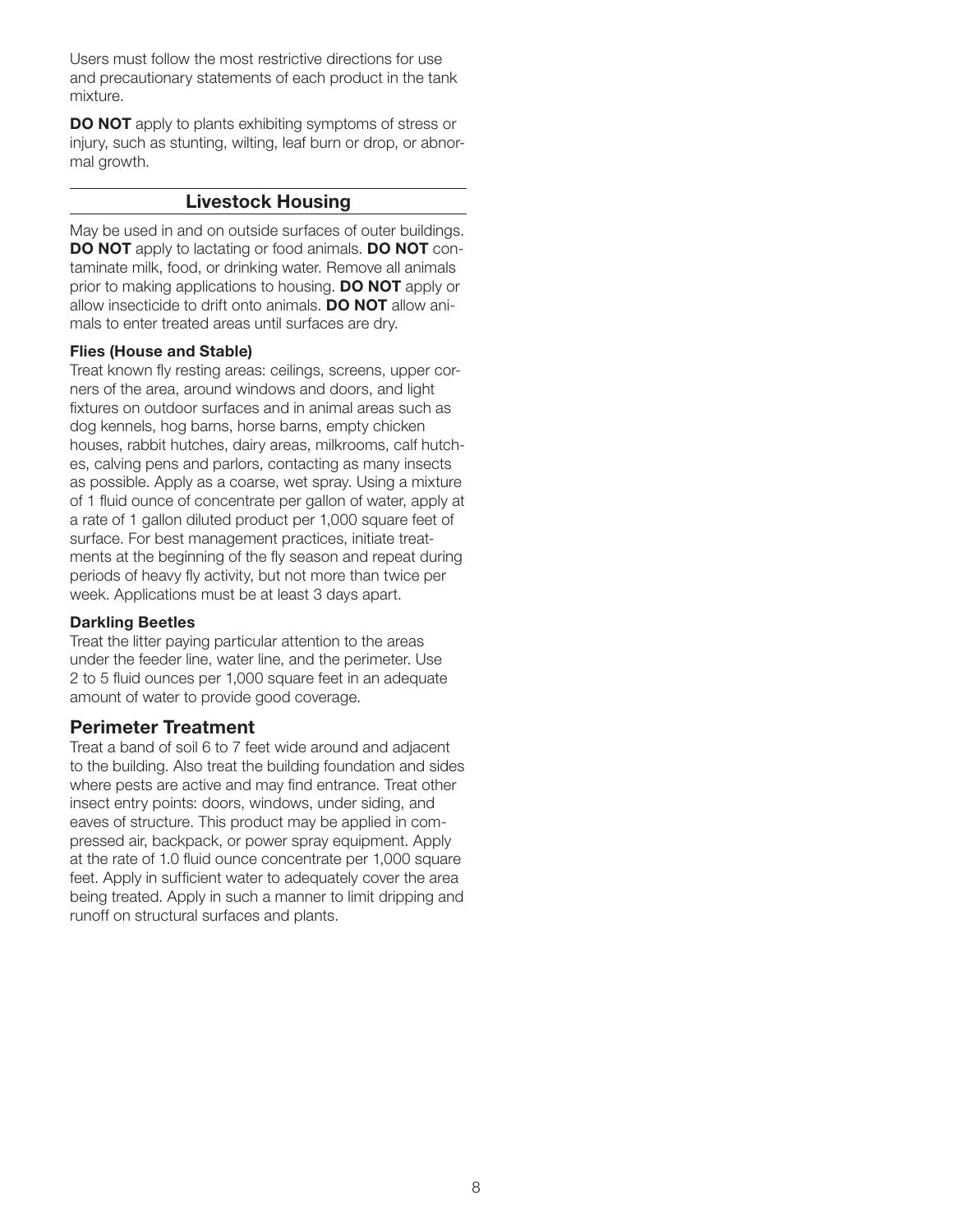Users must follow the most restrictive directions for use and precautionary statements of each product in the tank mixture.

DO NOT apply to plants exhibiting symptoms of stress or injury, such as stunting, wilting, leaf burn or drop, or abnormal growth.

### Livestock Housing

May be used in and on outside surfaces of outer buildings. DO NOT apply to lactating or food animals. DO NOT contaminate milk, food, or drinking water. Remove all animals prior to making applications to housing. **DO NOT** apply or allow insecticide to drift onto animals. DO NOT allow animals to enter treated areas until surfaces are dry.

### Flies (House and Stable)

Treat known fly resting areas: ceilings, screens, upper corners of the area, around windows and doors, and light fixtures on outdoor surfaces and in animal areas such as dog kennels, hog barns, horse barns, empty chicken houses, rabbit hutches, dairy areas, milkrooms, calf hutches, calving pens and parlors, contacting as many insects as possible. Apply as a coarse, wet spray. Using a mixture of 1 fluid ounce of concentrate per gallon of water, apply at a rate of 1 gallon diluted product per 1,000 square feet of surface. For best management practices, initiate treatments at the beginning of the fly season and repeat during periods of heavy fly activity, but not more than twice per week. Applications must be at least 3 days apart.

### Darkling Beetles

Treat the litter paying particular attention to the areas under the feeder line, water line, and the perimeter. Use 2 to 5 fluid ounces per 1,000 square feet in an adequate amount of water to provide good coverage.

### Perimeter Treatment

Treat a band of soil 6 to 7 feet wide around and adjacent to the building. Also treat the building foundation and sides where pests are active and may find entrance. Treat other insect entry points: doors, windows, under siding, and eaves of structure. This product may be applied in compressed air, backpack, or power spray equipment. Apply at the rate of 1.0 fluid ounce concentrate per 1,000 square feet. Apply in sufficient water to adequately cover the area being treated. Apply in such a manner to limit dripping and runoff on structural surfaces and plants.